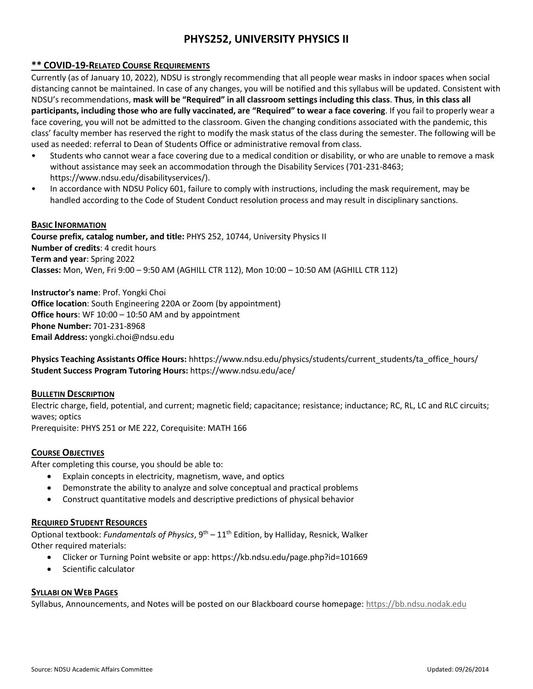# **PHYS252, UNIVERSITY PHYSICS II**

### **\*\* COVID-19-RELATED COURSE REQUIREMENTS**

Currently (as of January 10, 2022), NDSU is strongly recommending that all people wear masks in indoor spaces when social distancing cannot be maintained. In case of any changes, you will be notified and this syllabus will be updated. Consistent with NDSU's recommendations, **mask will be "Required" in all classroom settings including this class**. **Thus**, **in this class all participants, including those who are fully vaccinated, are "Required" to wear a face covering**. If you fail to properly wear a face covering, you will not be admitted to the classroom. Given the changing conditions associated with the pandemic, this class' faculty member has reserved the right to modify the mask status of the class during the semester. The following will be used as needed: referral to Dean of Students Office or administrative removal from class.

- Students who cannot wear a face covering due to a medical condition or disability, or who are unable to remove a mask without assistance may seek an accommodation through the Disability Services (701-231-8463; https://www.ndsu.edu/disabilityservices/).
- In accordance with NDSU Policy 601, failure to comply with instructions, including the mask requirement, may be handled according to the Code of Student Conduct resolution process and may result in disciplinary sanctions.

#### **BASIC INFORMATION**

**Course prefix, catalog number, and title:** PHYS 252, 10744, University Physics II **Number of credits**: 4 credit hours **Term and year**: Spring 2022 **Classes:** Mon, Wen, Fri 9:00 – 9:50 AM (AGHILL CTR 112), Mon 10:00 – 10:50 AM (AGHILL CTR 112)

**Instructor's name**: Prof. Yongki Choi **Office location**: South Engineering 220A or Zoom (by appointment) **Office hours**: WF 10:00 – 10:50 AM and by appointment **Phone Number:** 701-231-8968 **Email Address:** yongki.choi@ndsu.edu

**Physics Teaching Assistants Office Hours:** hhttps://www.ndsu.edu/physics/students/current\_students/ta\_office\_hours/ **Student Success Program Tutoring Hours:** https://www.ndsu.edu/ace/

#### **BULLETIN DESCRIPTION**

Electric charge, field, potential, and current; magnetic field; capacitance; resistance; inductance; RC, RL, LC and RLC circuits; waves; optics

Prerequisite: PHYS 251 or ME 222, Corequisite: MATH 166

#### **COURSE OBJECTIVES**

After completing this course, you should be able to:

- Explain concepts in electricity, magnetism, wave, and optics
- Demonstrate the ability to analyze and solve conceptual and practical problems
- Construct quantitative models and descriptive predictions of physical behavior

#### **REQUIRED STUDENT RESOURCES**

Optional textbook: *Fundamentals of Physics*, 9<sup>th</sup> – 11<sup>th</sup> Edition, by Halliday, Resnick, Walker Other required materials:

- Clicker or Turning Point website or app: https://kb.ndsu.edu/page.php?id=101669
- Scientific calculator

#### **SYLLABI ON WEB PAGES**

Syllabus, Announcements, and Notes will be posted on our Blackboard course homepage[: https://bb.ndsu.nodak.edu](https://bb.ndsu.nodak.edu/)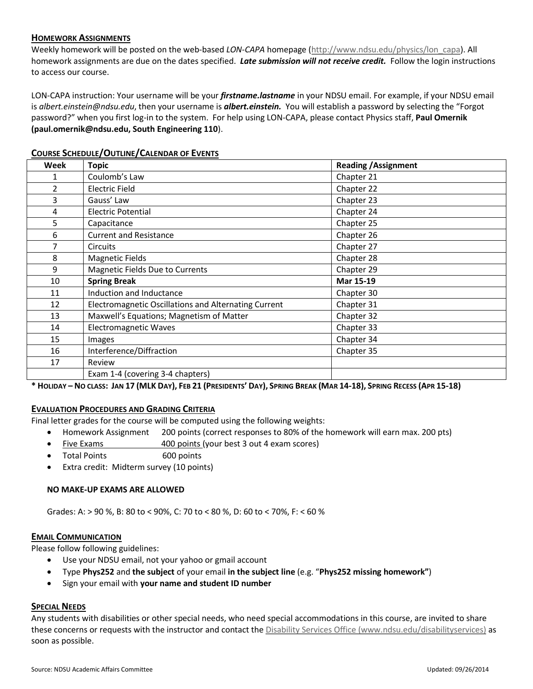#### **HOMEWORK ASSIGNMENTS**

Weekly homework will be posted on the web-based *LON-CAPA* homepage [\(http://www.ndsu.edu/physics/lon\\_capa\)](http://www.ndsu.edu/physics/lon_capa). All homework assignments are due on the dates specified. *Late submission will not receive credit.* Follow the login instructions to access our course.

LON-CAPA instruction: Your username will be your *firstname.lastname* in your NDSU email. For example, if your NDSU email is *albert.einstein@ndsu.edu*, then your username is *albert.einstein.* You will establish a password by selecting the "Forgot password?" when you first log-in to the system. For help using LON-CAPA, please contact Physics staff, **Paul Omernik (paul.omernik@ndsu.edu, South Engineering 110**).

| Week           | <b>Topic</b>                                         | <b>Reading / Assignment</b> |
|----------------|------------------------------------------------------|-----------------------------|
| 1              | Coulomb's Law                                        | Chapter 21                  |
| $\overline{2}$ | <b>Electric Field</b>                                | Chapter 22                  |
| 3              | Gauss' Law                                           | Chapter 23                  |
| 4              | <b>Electric Potential</b>                            | Chapter 24                  |
| 5              | Capacitance                                          | Chapter 25                  |
| 6              | <b>Current and Resistance</b>                        | Chapter 26                  |
| 7              | <b>Circuits</b>                                      | Chapter 27                  |
| 8              | <b>Magnetic Fields</b>                               | Chapter 28                  |
| 9              | Magnetic Fields Due to Currents                      | Chapter 29                  |
| 10             | <b>Spring Break</b>                                  | Mar 15-19                   |
| 11             | Induction and Inductance                             | Chapter 30                  |
| 12             | Electromagnetic Oscillations and Alternating Current | Chapter 31                  |
| 13             | Maxwell's Equations; Magnetism of Matter             | Chapter 32                  |
| 14             | <b>Electromagnetic Waves</b>                         | Chapter 33                  |
| 15             | Images                                               | Chapter 34                  |
| 16             | Interference/Diffraction                             | Chapter 35                  |
| 17             | Review                                               |                             |
|                | Exam 1-4 (covering 3-4 chapters)                     |                             |

#### **COURSE SCHEDULE/OUTLINE/CALENDAR OF EVENTS**

\* HOLIDAY – NO CLASS: JAN 17 (MLK DAY), FEB 21 (PRESIDENTS' DAY), SPRING BREAK (MAR 14-18), SPRING RECESS (APR 15-18)

### **EVALUATION PROCEDURES AND GRADING CRITERIA**

Final letter grades for the course will be computed using the following weights:

- Homework Assignment 200 points (correct responses to 80% of the homework will earn max. 200 pts)
- Five Exams 400 points (your best 3 out 4 exam scores)
- Total Points 600 points
- Extra credit: Midterm survey (10 points)

#### **NO MAKE-UP EXAMS ARE ALLOWED**

Grades: A: > 90 %, B: 80 to < 90%, C: 70 to < 80 %, D: 60 to < 70%, F: < 60 %

#### **EMAIL COMMUNICATION**

Please follow following guidelines:

- Use your NDSU email, not your yahoo or gmail account
- Type **Phys252** and **the subject** of your email **in the subject line** (e.g. "**Phys252 missing homework"**)
- Sign your email with **your name and student ID number**

## **SPECIAL NEEDS**

Any students with disabilities or other special needs, who need special accommodations in this course, are invited to share these concerns or requests with the instructor and contact th[e Disability Services Office \(www.ndsu.edu/disabilityservices\)](http://www.ndsu.edu/disabilityservices/) as soon as possible.